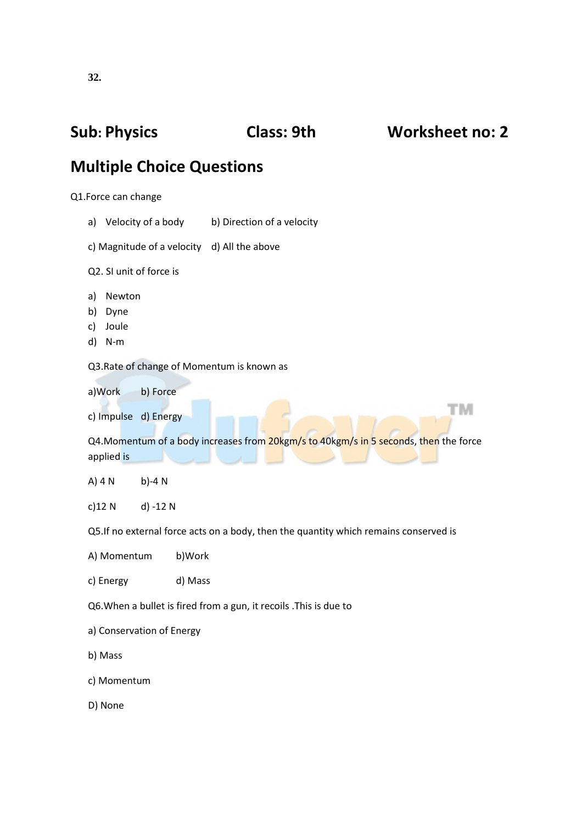## **Sub: Physics Class: 9th Worksheet no: 2 Multiple Choice Questions** Q1.Force can change a) Velocity of a body b) Direction of a velocity c) Magnitude of a velocity d) All the above Q2. SI unit of force is a) Newton b) Dyne c) Joule d) N-m Q3.Rate of change of Momentum is known as a)Work b) Force тм c) Impulse d) Energy Q4.Momentum of a body increases from 20kgm/s to 40kgm/s in 5 seconds, then the force applied is A) 4 N b)-4 N c)12 N d) -12 N Q5.If no external force acts on a body, then the quantity which remains conserved is A) Momentum b)Work c) Energy d) Mass Q6.When a bullet is fired from a gun, it recoils .This is due to a) Conservation of Energy b) Mass c) Momentum

D) None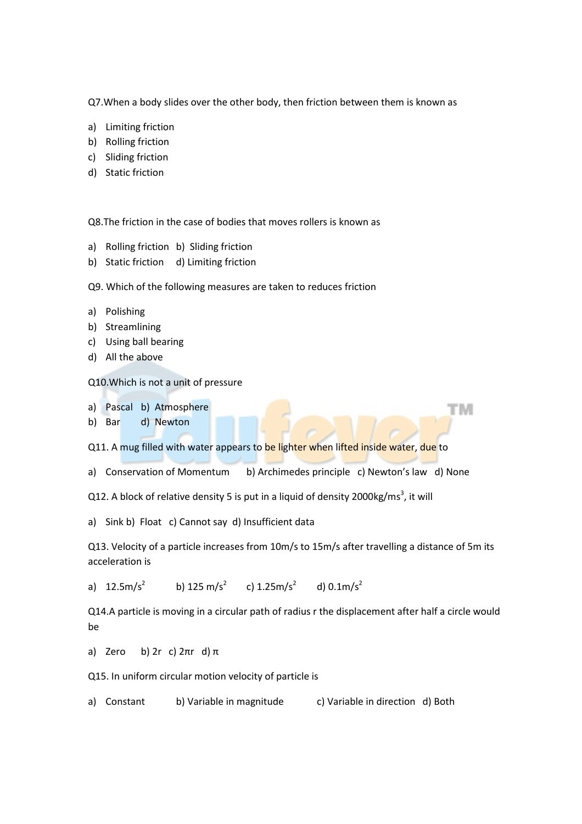Q7.When a body slides over the other body, then friction between them is known as

- a) Limiting friction
- b) Rolling friction
- c) Sliding friction
- d) Static friction

Q8.The friction in the case of bodies that moves rollers is known as

- a) Rolling friction b) Sliding friction
- b) Static friction d) Limiting friction

Q9. Which of the following measures are taken to reduces friction

- a) Polishing
- b) Streamlining
- c) Using ball bearing
- d) All the above

Q10.Which is not a unit of pressure

- a) Pascal b) Atmosphere
- b) Bar d) Newton

Q11. A mug filled with water appears to be lighter when lifted inside water, due to

a) Conservation of Momentum b) Archimedes principle c) Newton's law d) None

тм

Q12. A block of relative density 5 is put in a liquid of density 2000kg/ms<sup>3</sup>, it will

a) Sink b) Float c) Cannot say d) Insufficient data

Q13. Velocity of a particle increases from 10m/s to 15m/s after travelling a distance of 5m its acceleration is

a)  $12.5 \text{m/s}^2$ b) 125 m/s<sup>2</sup> c)  $1.25 \text{m/s}^2$ d)  $0.1 \text{m/s}^2$ 

Q14.A particle is moving in a circular path of radius r the displacement after half a circle would be

a) Zero b) 2r c)  $2\pi r$  d)  $\pi$ 

Q15. In uniform circular motion velocity of particle is

a) Constant b) Variable in magnitude c) Variable in direction d) Both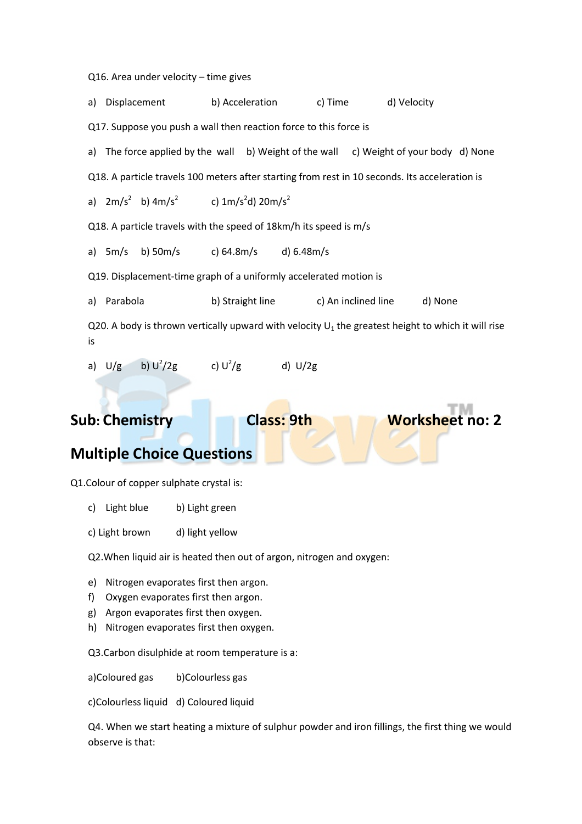Q16. Area under velocity – time gives

a) Displacement b) Acceleration c) Time d) Velocity Q17. Suppose you push a wall then reaction force to this force is a) The force applied by the wall b) Weight of the wall c) Weight of your body d) None Q18. A particle travels 100 meters after starting from rest in 10 seconds. Its acceleration is a)  $2m/s^2$  b)  $4m/s^2$  c)  $1m/s^2$ d)  $20m/s^2$ Q18. A particle travels with the speed of 18km/h its speed is m/s a) 5m/s b) 50m/s c) 64.8m/s d) 6.48m/s Q19. Displacement-time graph of a uniformly accelerated motion is a) Parabola b) Straight line c) An inclined line d) None Q20. A body is thrown vertically upward with velocity  $U_1$  the greatest height to which it will rise is a)  $U/g$  b)  $U^2/2g$ c)  $U^2/g$ d) U/2g

### **Sub: Chemistry Class: 9th Worksheet no: 2**

### **Multiple Choice Questions**

Q1.Colour of copper sulphate crystal is:

- c) Light blue b) Light green
- c) Light brown d) light yellow

Q2.When liquid air is heated then out of argon, nitrogen and oxygen:

- e) Nitrogen evaporates first then argon.
- f) Oxygen evaporates first then argon.
- g) Argon evaporates first then oxygen.
- h) Nitrogen evaporates first then oxygen.

Q3.Carbon disulphide at room temperature is a:

a)Coloured gas b)Colourless gas

c)Colourless liquid d) Coloured liquid

Q4. When we start heating a mixture of sulphur powder and iron fillings, the first thing we would observe is that: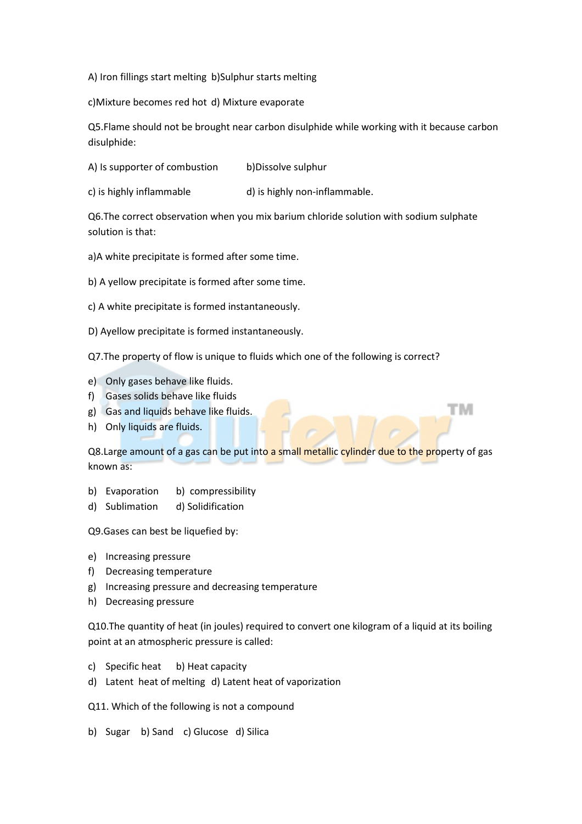A) Iron fillings start melting b)Sulphur starts melting

c)Mixture becomes red hot d) Mixture evaporate

Q5.Flame should not be brought near carbon disulphide while working with it because carbon disulphide:

A) Is supporter of combustion b)Dissolve sulphur

c) is highly inflammable d) is highly non-inflammable.

Q6.The correct observation when you mix barium chloride solution with sodium sulphate solution is that:

a)A white precipitate is formed after some time.

b) A yellow precipitate is formed after some time.

- c) A white precipitate is formed instantaneously.
- D) Ayellow precipitate is formed instantaneously.

Q7.The property of flow is unique to fluids which one of the following is correct?

- e) Only gases behave like fluids.
- f) Gases solids behave like fluids
- g) Gas and liquids behave like fluids.
- h) Only liquids are fluids.

Q8.Large amount of a gas can be put into a small metallic cylinder due to the property of gas known as:

ΤМ

- b) Evaporation b) compressibility
- d) Sublimation d) Solidification

Q9.Gases can best be liquefied by:

- e) Increasing pressure
- f) Decreasing temperature
- g) Increasing pressure and decreasing temperature
- h) Decreasing pressure

Q10.The quantity of heat (in joules) required to convert one kilogram of a liquid at its boiling point at an atmospheric pressure is called:

- c) Specific heat b) Heat capacity
- d) Latent heat of melting d) Latent heat of vaporization

Q11. Which of the following is not a compound

b) Sugar b) Sand c) Glucose d) Silica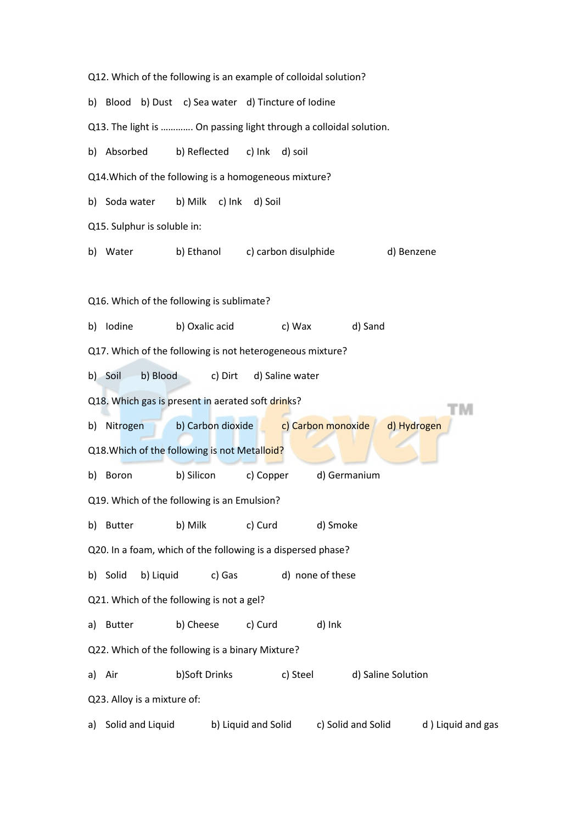| Q12. Which of the following is an example of colloidal solution?  |                                                                    |           |                                                     |                                 |          |                                        |                    |                   |
|-------------------------------------------------------------------|--------------------------------------------------------------------|-----------|-----------------------------------------------------|---------------------------------|----------|----------------------------------------|--------------------|-------------------|
|                                                                   |                                                                    |           | b) Blood b) Dust c) Sea water d) Tincture of Iodine |                                 |          |                                        |                    |                   |
| Q13. The light is  On passing light through a colloidal solution. |                                                                    |           |                                                     |                                 |          |                                        |                    |                   |
|                                                                   | b) Absorbed                                                        |           | b) Reflected c) Ink d) soil                         |                                 |          |                                        |                    |                   |
| Q14. Which of the following is a homogeneous mixture?             |                                                                    |           |                                                     |                                 |          |                                        |                    |                   |
|                                                                   | b) Soda water                                                      |           | b) Milk c) Ink d) Soil                              |                                 |          |                                        |                    |                   |
| Q15. Sulphur is soluble in:                                       |                                                                    |           |                                                     |                                 |          |                                        |                    |                   |
|                                                                   | b) Water                                                           |           |                                                     | b) Ethanol c) carbon disulphide |          |                                        |                    | d) Benzene        |
|                                                                   |                                                                    |           |                                                     |                                 |          |                                        |                    |                   |
| Q16. Which of the following is sublimate?                         |                                                                    |           |                                                     |                                 |          |                                        |                    |                   |
|                                                                   | b) Iodine                                                          |           | b) Oxalic acid                                      |                                 |          | c) Wax                                 | d) Sand            |                   |
| Q17. Which of the following is not heterogeneous mixture?         |                                                                    |           |                                                     |                                 |          |                                        |                    |                   |
| b) Soil<br>b) Blood<br>c) Dirt<br>d) Saline water                 |                                                                    |           |                                                     |                                 |          |                                        |                    |                   |
|                                                                   |                                                                    |           | Q18. Which gas is present in aerated soft drinks?   |                                 |          |                                        |                    |                   |
|                                                                   | b) Carbon dioxide c) Carbon monoxide<br>b) Nitrogen<br>d) Hydrogen |           |                                                     |                                 |          |                                        |                    |                   |
| Q18. Which of the following is not Metalloid?                     |                                                                    |           |                                                     |                                 |          |                                        |                    |                   |
|                                                                   | b) Boron                                                           |           | b) Silicon                                          | c) Copper                       |          | d) Germanium                           |                    |                   |
| Q19. Which of the following is an Emulsion?                       |                                                                    |           |                                                     |                                 |          |                                        |                    |                   |
|                                                                   | b) Butter                                                          |           | b) Milk c) Curd                                     |                                 |          | d) Smoke                               |                    |                   |
| Q20. In a foam, which of the following is a dispersed phase?      |                                                                    |           |                                                     |                                 |          |                                        |                    |                   |
|                                                                   | b) Solid                                                           | b) Liquid | c) Gas                                              |                                 |          | d) none of these                       |                    |                   |
| Q21. Which of the following is not a gel?                         |                                                                    |           |                                                     |                                 |          |                                        |                    |                   |
|                                                                   | a) Butter                                                          |           | b) Cheese                                           | c) Curd                         |          | d) Ink                                 |                    |                   |
| Q22. Which of the following is a binary Mixture?                  |                                                                    |           |                                                     |                                 |          |                                        |                    |                   |
|                                                                   | a) Air                                                             |           | b)Soft Drinks                                       |                                 | c) Steel |                                        | d) Saline Solution |                   |
| Q23. Alloy is a mixture of:                                       |                                                                    |           |                                                     |                                 |          |                                        |                    |                   |
| a)                                                                | Solid and Liquid                                                   |           |                                                     |                                 |          | b) Liquid and Solid c) Solid and Solid |                    | d) Liquid and gas |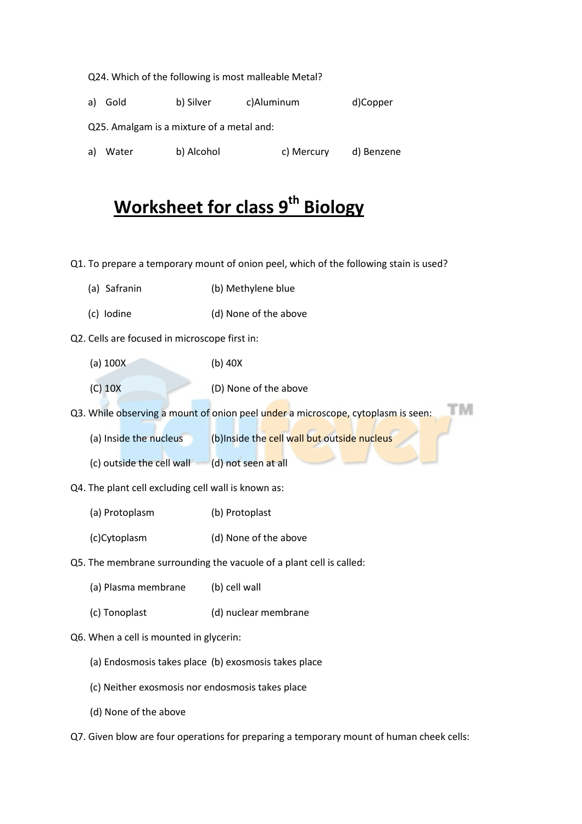Q24. Which of the following is most malleable Metal? a) Gold b) Silver c)Aluminum d)Copper Q25. Amalgam is a mixture of a metal and: a) Water b) Alcohol b c) Mercury d) Benzene

# **Worksheet for class 9th Biology**

Q1. To prepare a temporary mount of onion peel, which of the following stain is used?

- (a) Safranin (b) Methylene blue
- (c) Iodine (d) None of the above
- Q2. Cells are focused in microscope first in:
	- (a) 100X (b) 40X
	- (C) 10X (D) None of the above

Q3. While observing a mount of onion peel under a microscope, cytoplasm is seen:

тм

(a) Inside the nucleus (b)Inside the cell wall but outside nucleus

- (c) outside the cell wall  $\qquad$  (d) not seen at all
- Q4. The plant cell excluding cell wall is known as:
	- (a) Protoplasm (b) Protoplast
	- (c)Cytoplasm (d) None of the above
- Q5. The membrane surrounding the vacuole of a plant cell is called:
	- (a) Plasma membrane (b) cell wall
	- (c) Tonoplast (d) nuclear membrane
- Q6. When a cell is mounted in glycerin:
	- (a) Endosmosis takes place (b) exosmosis takes place
	- (c) Neither exosmosis nor endosmosis takes place
	- (d) None of the above

Q7. Given blow are four operations for preparing a temporary mount of human cheek cells: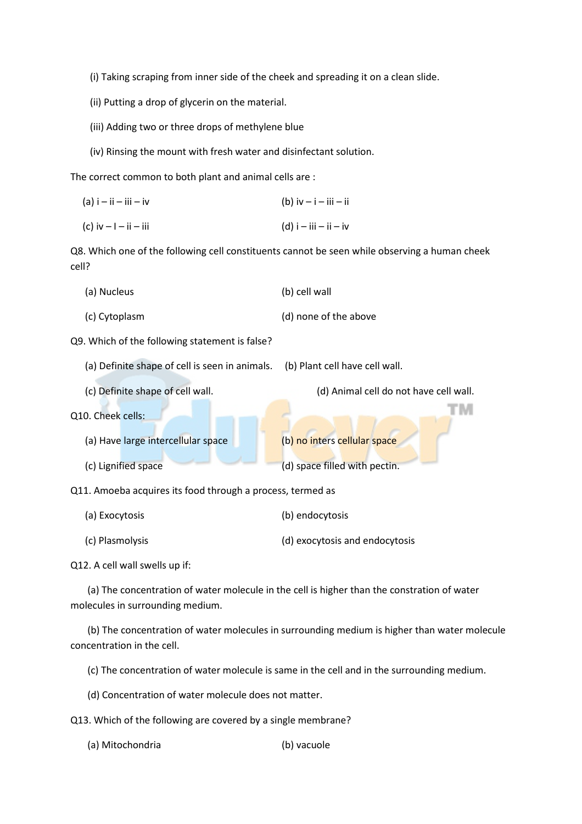(i) Taking scraping from inner side of the cheek and spreading it on a clean slide.

(ii) Putting a drop of glycerin on the material.

- (iii) Adding two or three drops of methylene blue
- (iv) Rinsing the mount with fresh water and disinfectant solution.

The correct common to both plant and animal cells are :

| $(a)$ i – ii – iii – iv    | (b) $iv - i - iii - ii$ |
|----------------------------|-------------------------|
| (c) iv $-1 - i$ i $- i$ ii | $(d)$ i – iii – ii – iv |

Q8. Which one of the following cell constituents cannot be seen while observing a human cheek cell?

|                                               | (a) Nucleus   | (b) cell wall         |  |  |
|-----------------------------------------------|---------------|-----------------------|--|--|
|                                               | (c) Cytoplasm | (d) none of the above |  |  |
| 09 Which of the following statement is false? |               |                       |  |  |

Q9. Which of the following statement is false?

- (a) Definite shape of cell is seen in animals. (b) Plant cell have cell wall.
- 

(c) Definite shape of cell wall. (d) Animal cell do not have cell wall.

ГM

- Q10. Cheek cells:
	- (a) Have large intercellular space (b) no inters cellular space (c) Lignified space (d) space filled with pectin.

Q11. Amoeba acquires its food through a process, termed as

- (a) Exocytosis (b) endocytosis
- (c) Plasmolysis (d) exocytosis and endocytosis

Q12. A cell wall swells up if:

 (a) The concentration of water molecule in the cell is higher than the constration of water molecules in surrounding medium.

 (b) The concentration of water molecules in surrounding medium is higher than water molecule concentration in the cell.

(c) The concentration of water molecule is same in the cell and in the surrounding medium.

(d) Concentration of water molecule does not matter.

Q13. Which of the following are covered by a single membrane?

(a) Mitochondria (b) vacuole